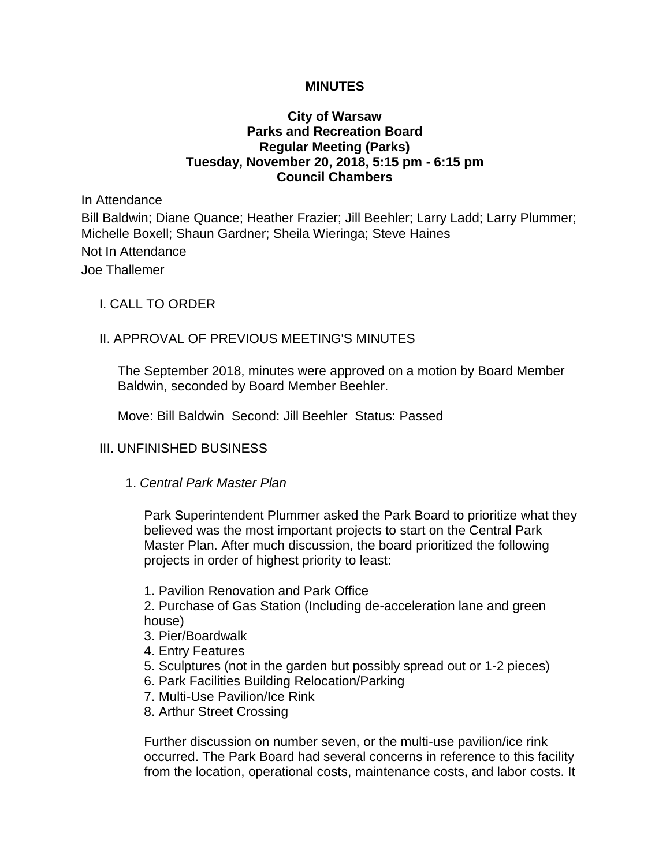### **MINUTES**

## **City of Warsaw Parks and Recreation Board Regular Meeting (Parks) Tuesday, November 20, 2018, 5:15 pm - 6:15 pm Council Chambers**

In Attendance

Bill Baldwin; Diane Quance; Heather Frazier; Jill Beehler; Larry Ladd; Larry Plummer; Michelle Boxell; Shaun Gardner; Sheila Wieringa; Steve Haines

Not In Attendance Joe Thallemer

### I. CALL TO ORDER

## II. APPROVAL OF PREVIOUS MEETING'S MINUTES

The September 2018, minutes were approved on a motion by Board Member Baldwin, seconded by Board Member Beehler.

Move: Bill Baldwin Second: Jill Beehler Status: Passed

#### III. UNFINISHED BUSINESS

1. *Central Park Master Plan* 

Park Superintendent Plummer asked the Park Board to prioritize what they believed was the most important projects to start on the Central Park Master Plan. After much discussion, the board prioritized the following projects in order of highest priority to least:

1. Pavilion Renovation and Park Office

2. Purchase of Gas Station (Including de-acceleration lane and green house)

- 3. Pier/Boardwalk
- 4. Entry Features
- 5. Sculptures (not in the garden but possibly spread out or 1-2 pieces)
- 6. Park Facilities Building Relocation/Parking
- 7. Multi-Use Pavilion/Ice Rink
- 8. Arthur Street Crossing

Further discussion on number seven, or the multi-use pavilion/ice rink occurred. The Park Board had several concerns in reference to this facility from the location, operational costs, maintenance costs, and labor costs. It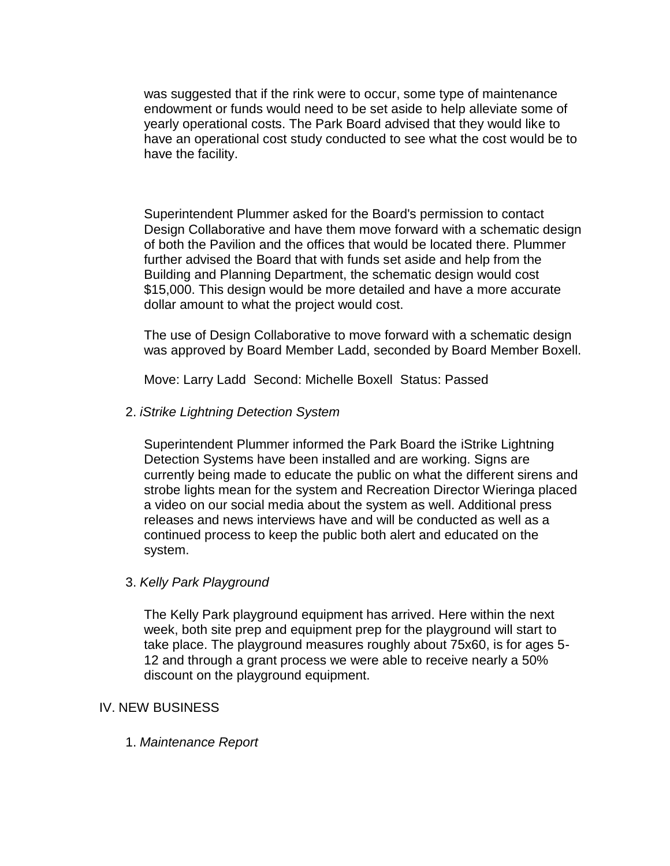was suggested that if the rink were to occur, some type of maintenance endowment or funds would need to be set aside to help alleviate some of yearly operational costs. The Park Board advised that they would like to have an operational cost study conducted to see what the cost would be to have the facility.

Superintendent Plummer asked for the Board's permission to contact Design Collaborative and have them move forward with a schematic design of both the Pavilion and the offices that would be located there. Plummer further advised the Board that with funds set aside and help from the Building and Planning Department, the schematic design would cost \$15,000. This design would be more detailed and have a more accurate dollar amount to what the project would cost.

The use of Design Collaborative to move forward with a schematic design was approved by Board Member Ladd, seconded by Board Member Boxell.

Move: Larry Ladd Second: Michelle Boxell Status: Passed

2. *iStrike Lightning Detection System* 

Superintendent Plummer informed the Park Board the iStrike Lightning Detection Systems have been installed and are working. Signs are currently being made to educate the public on what the different sirens and strobe lights mean for the system and Recreation Director Wieringa placed a video on our social media about the system as well. Additional press releases and news interviews have and will be conducted as well as a continued process to keep the public both alert and educated on the system.

# 3. *Kelly Park Playground*

The Kelly Park playground equipment has arrived. Here within the next week, both site prep and equipment prep for the playground will start to take place. The playground measures roughly about 75x60, is for ages 5- 12 and through a grant process we were able to receive nearly a 50% discount on the playground equipment.

#### IV. NEW BUSINESS

1. *Maintenance Report*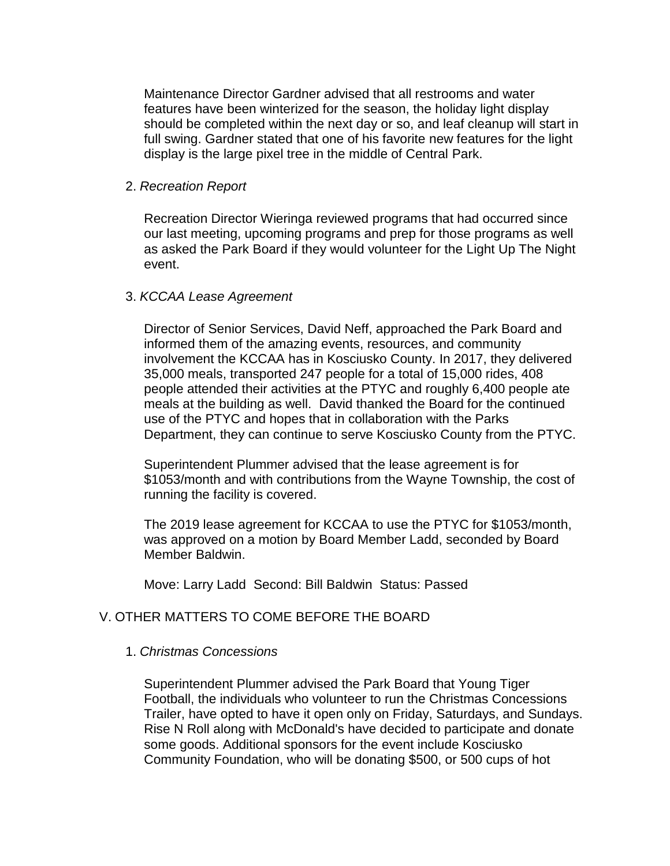Maintenance Director Gardner advised that all restrooms and water features have been winterized for the season, the holiday light display should be completed within the next day or so, and leaf cleanup will start in full swing. Gardner stated that one of his favorite new features for the light display is the large pixel tree in the middle of Central Park.

#### 2. *Recreation Report*

Recreation Director Wieringa reviewed programs that had occurred since our last meeting, upcoming programs and prep for those programs as well as asked the Park Board if they would volunteer for the Light Up The Night event.

#### 3. *KCCAA Lease Agreement*

Director of Senior Services, David Neff, approached the Park Board and informed them of the amazing events, resources, and community involvement the KCCAA has in Kosciusko County. In 2017, they delivered 35,000 meals, transported 247 people for a total of 15,000 rides, 408 people attended their activities at the PTYC and roughly 6,400 people ate meals at the building as well. David thanked the Board for the continued use of the PTYC and hopes that in collaboration with the Parks Department, they can continue to serve Kosciusko County from the PTYC.

Superintendent Plummer advised that the lease agreement is for \$1053/month and with contributions from the Wayne Township, the cost of running the facility is covered.

The 2019 lease agreement for KCCAA to use the PTYC for \$1053/month, was approved on a motion by Board Member Ladd, seconded by Board Member Baldwin.

Move: Larry Ladd Second: Bill Baldwin Status: Passed

#### V. OTHER MATTERS TO COME BEFORE THE BOARD

#### 1. *Christmas Concessions*

Superintendent Plummer advised the Park Board that Young Tiger Football, the individuals who volunteer to run the Christmas Concessions Trailer, have opted to have it open only on Friday, Saturdays, and Sundays. Rise N Roll along with McDonald's have decided to participate and donate some goods. Additional sponsors for the event include Kosciusko Community Foundation, who will be donating \$500, or 500 cups of hot